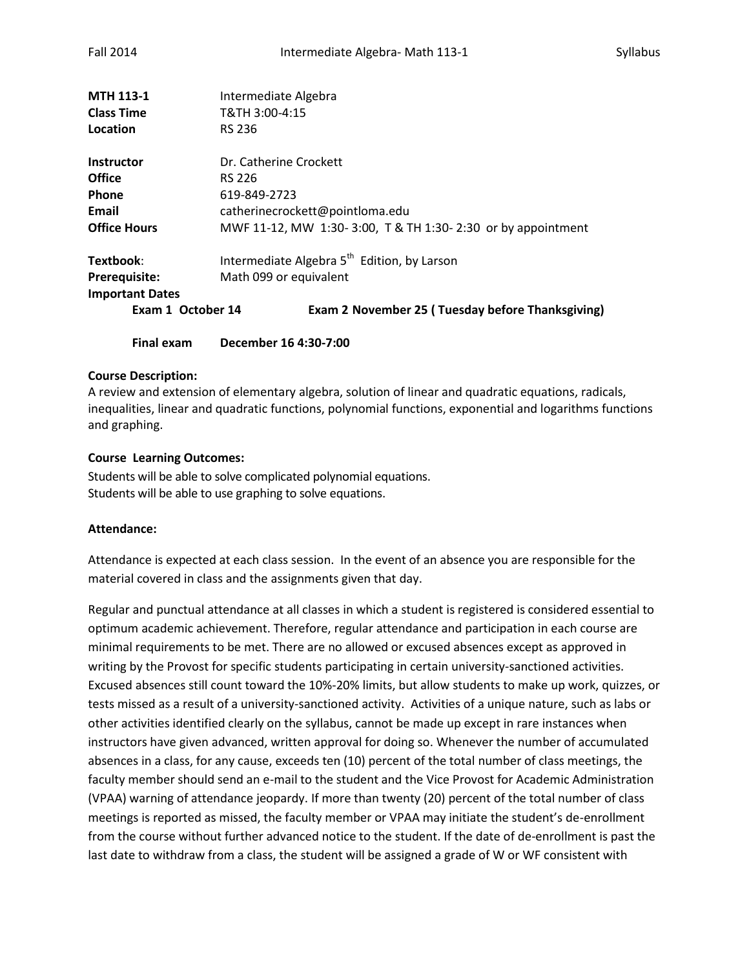| <b>MTH 113-1</b>       | Intermediate Algebra                                        |
|------------------------|-------------------------------------------------------------|
| <b>Class Time</b>      | T&TH 3:00-4:15                                              |
| Location               | <b>RS 236</b>                                               |
| <b>Instructor</b>      | Dr. Catherine Crockett                                      |
| <b>Office</b>          | RS 226                                                      |
| Phone                  | 619-849-2723                                                |
| Email                  | catherinecrockett@pointloma.edu                             |
| <b>Office Hours</b>    | MWF 11-12, MW 1:30-3:00, T & TH 1:30-2:30 or by appointment |
| Textbook:              | Intermediate Algebra 5 <sup>th</sup> Edition, by Larson     |
| Prerequisite:          | Math 099 or equivalent                                      |
| <b>Important Dates</b> |                                                             |
| Exam 1 October 14      | Exam 2 November 25 (Tuesday before Thanksgiving)            |
| <b>Final exam</b>      | December 16 4:30-7:00                                       |

## **Course Description:**

A review and extension of elementary algebra, solution of linear and quadratic equations, radicals, inequalities, linear and quadratic functions, polynomial functions, exponential and logarithms functions and graphing.

## **Course Learning Outcomes:**

Students will be able to solve complicated polynomial equations. Students will be able to use graphing to solve equations.

# **Attendance:**

Attendance is expected at each class session. In the event of an absence you are responsible for the material covered in class and the assignments given that day.

Regular and punctual attendance at all classes in which a student is registered is considered essential to optimum academic achievement. Therefore, regular attendance and participation in each course are minimal requirements to be met. There are no allowed or excused absences except as approved in writing by the Provost for specific students participating in certain university-sanctioned activities. Excused absences still count toward the 10%-20% limits, but allow students to make up work, quizzes, or tests missed as a result of a university-sanctioned activity. Activities of a unique nature, such as labs or other activities identified clearly on the syllabus, cannot be made up except in rare instances when instructors have given advanced, written approval for doing so. Whenever the number of accumulated absences in a class, for any cause, exceeds ten (10) percent of the total number of class meetings, the faculty member should send an e-mail to the student and the Vice Provost for Academic Administration (VPAA) warning of attendance jeopardy. If more than twenty (20) percent of the total number of class meetings is reported as missed, the faculty member or VPAA may initiate the student's de-enrollment from the course without further advanced notice to the student. If the date of de-enrollment is past the last date to withdraw from a class, the student will be assigned a grade of W or WF consistent with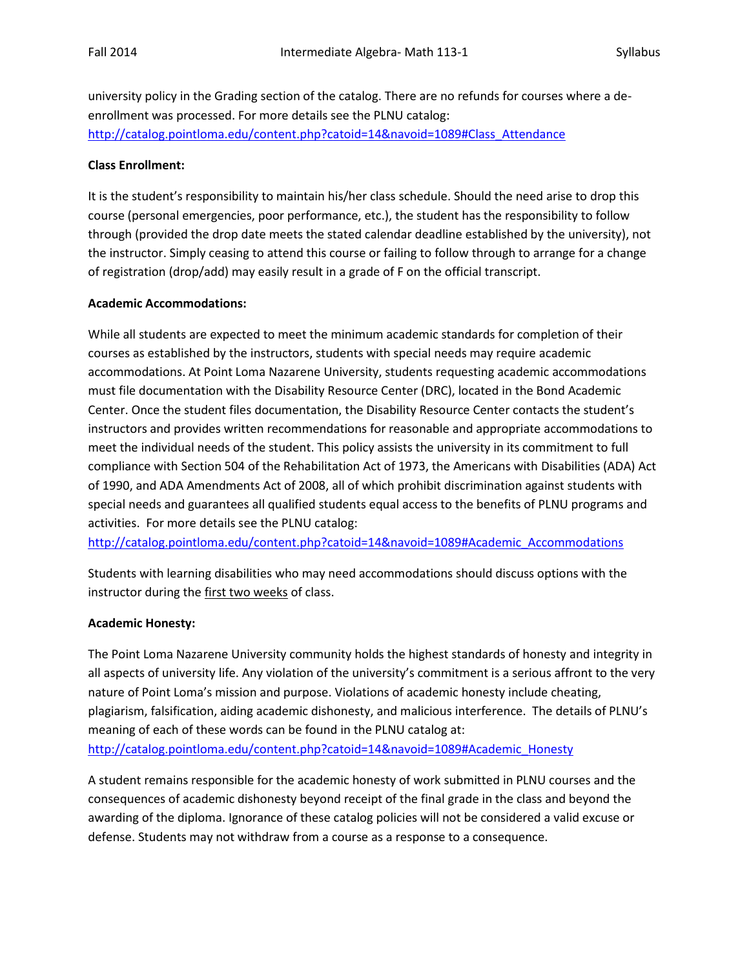university policy in the Grading section of the catalog. There are no refunds for courses where a deenrollment was processed. For more details see the PLNU catalog: [http://catalog.pointloma.edu/content.php?catoid=14&navoid=1089#Class\\_Attendance](http://catalog.pointloma.edu/content.php?catoid=14&navoid=1089#Class_Attendance)

# **Class Enrollment:**

It is the student's responsibility to maintain his/her class schedule. Should the need arise to drop this course (personal emergencies, poor performance, etc.), the student has the responsibility to follow through (provided the drop date meets the stated calendar deadline established by the university), not the instructor. Simply ceasing to attend this course or failing to follow through to arrange for a change of registration (drop/add) may easily result in a grade of F on the official transcript.

## **Academic Accommodations:**

While all students are expected to meet the minimum academic standards for completion of their courses as established by the instructors, students with special needs may require academic accommodations. At Point Loma Nazarene University, students requesting academic accommodations must file documentation with the Disability Resource Center (DRC), located in the Bond Academic Center. Once the student files documentation, the Disability Resource Center contacts the student's instructors and provides written recommendations for reasonable and appropriate accommodations to meet the individual needs of the student. This policy assists the university in its commitment to full compliance with Section 504 of the Rehabilitation Act of 1973, the Americans with Disabilities (ADA) Act of 1990, and ADA Amendments Act of 2008, all of which prohibit discrimination against students with special needs and guarantees all qualified students equal access to the benefits of PLNU programs and activities. For more details see the PLNU catalog:

[http://catalog.pointloma.edu/content.php?catoid=14&navoid=1089#Academic\\_Accommodations](http://catalog.pointloma.edu/content.php?catoid=14&navoid=1089#Academic_Accommodations)

Students with learning disabilities who may need accommodations should discuss options with the instructor during the first two weeks of class.

### **Academic Honesty:**

The Point Loma Nazarene University community holds the highest standards of honesty and integrity in all aspects of university life. Any violation of the university's commitment is a serious affront to the very nature of Point Loma's mission and purpose. Violations of academic honesty include cheating, plagiarism, falsification, aiding academic dishonesty, and malicious interference. The details of PLNU's meaning of each of these words can be found in the PLNU catalog at: [http://catalog.pointloma.edu/content.php?catoid=14&navoid=1089#Academic\\_Honesty](http://catalog.pointloma.edu/content.php?catoid=14&navoid=1089#Academic_Honesty)

A student remains responsible for the academic honesty of work submitted in PLNU courses and the consequences of academic dishonesty beyond receipt of the final grade in the class and beyond the awarding of the diploma. Ignorance of these catalog policies will not be considered a valid excuse or defense. Students may not withdraw from a course as a response to a consequence.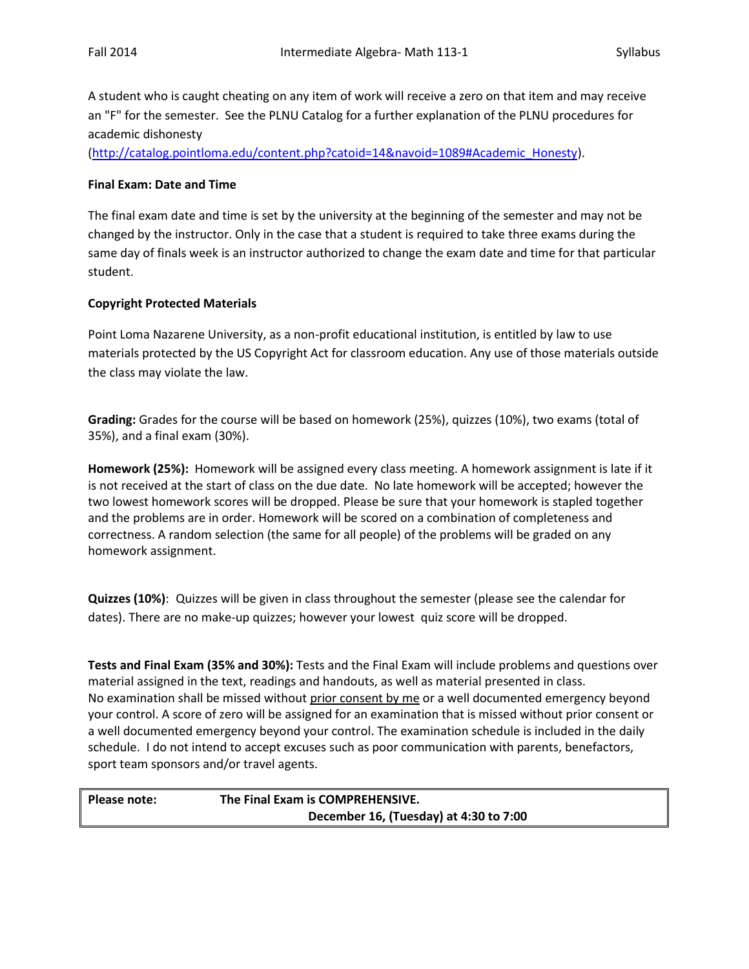A student who is caught cheating on any item of work will receive a zero on that item and may receive an "F" for the semester. See the PLNU Catalog for a further explanation of the PLNU procedures for academic dishonesty

[\(http://catalog.pointloma.edu/content.php?catoid=14&navoid=1089#Academic\\_Honesty\)](http://catalog.pointloma.edu/content.php?catoid=14&navoid=1089#Academic_Honesty).

## **Final Exam: Date and Time**

The final exam date and time is set by the university at the beginning of the semester and may not be changed by the instructor. Only in the case that a student is required to take three exams during the same day of finals week is an instructor authorized to change the exam date and time for that particular student.

## **Copyright Protected Materials**

Point Loma Nazarene University, as a non-profit educational institution, is entitled by law to use materials protected by the US Copyright Act for classroom education. Any use of those materials outside the class may violate the law.

**Grading:** Grades for the course will be based on homework (25%), quizzes (10%), two exams (total of 35%), and a final exam (30%).

**Homework (25%):** Homework will be assigned every class meeting. A homework assignment is late if it is not received at the start of class on the due date. No late homework will be accepted; however the two lowest homework scores will be dropped. Please be sure that your homework is stapled together and the problems are in order. Homework will be scored on a combination of completeness and correctness. A random selection (the same for all people) of the problems will be graded on any homework assignment.

**Quizzes (10%)**: Quizzes will be given in class throughout the semester (please see the calendar for dates). There are no make-up quizzes; however your lowest quiz score will be dropped.

**Tests and Final Exam (35% and 30%):** Tests and the Final Exam will include problems and questions over material assigned in the text, readings and handouts, as well as material presented in class. No examination shall be missed without prior consent by me or a well documented emergency beyond your control. A score of zero will be assigned for an examination that is missed without prior consent or a well documented emergency beyond your control. The examination schedule is included in the daily schedule. I do not intend to accept excuses such as poor communication with parents, benefactors, sport team sponsors and/or travel agents.

| Please note: | The Final Exam is COMPREHENSIVE.       |
|--------------|----------------------------------------|
|              | December 16, (Tuesday) at 4:30 to 7:00 |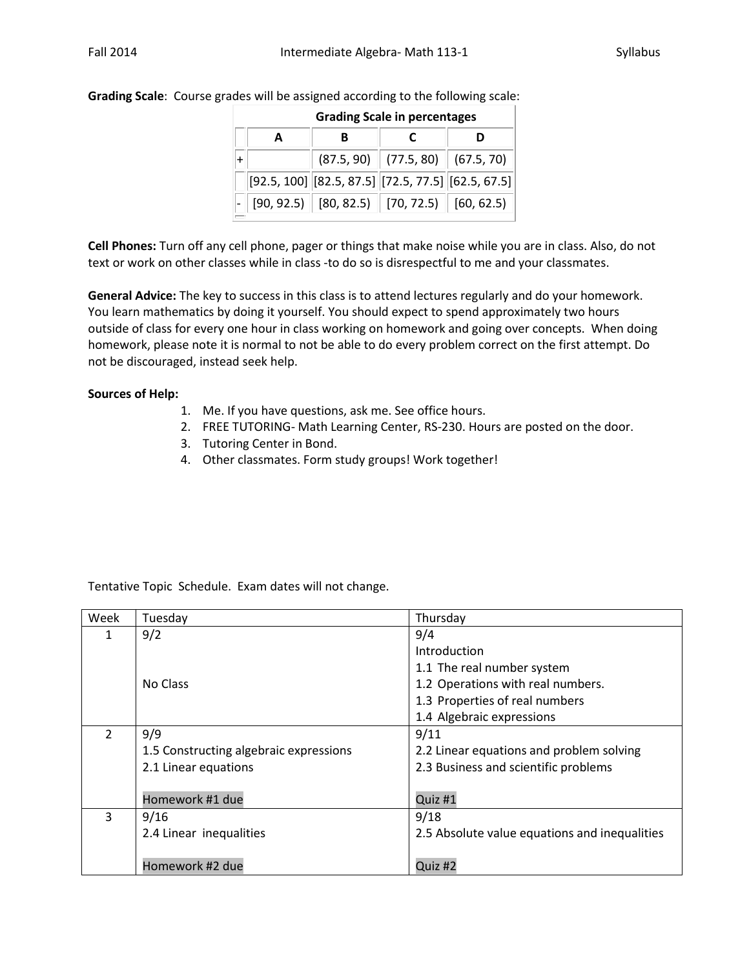|--|

| <b>Grading Scale in percentages</b> |                                                                             |                                        |  |
|-------------------------------------|-----------------------------------------------------------------------------|----------------------------------------|--|
| A                                   |                                                                             |                                        |  |
|                                     |                                                                             | $(87.5, 90)$ $(77.5, 80)$ $(67.5, 70)$ |  |
|                                     | $[92.5, 100]$ $[82.5, 87.5]$ $[72.5, 77.5]$ $[62.5, 67.5]$                  |                                        |  |
|                                     | $\vert$ [90, 92.5) $\vert$ [80, 82.5) $\vert$ [70, 72.5) $\vert$ [60, 62.5) |                                        |  |
|                                     |                                                                             |                                        |  |

**Cell Phones:** Turn off any cell phone, pager or things that make noise while you are in class. Also, do not text or work on other classes while in class -to do so is disrespectful to me and your classmates.

**General Advice:** The key to success in this class is to attend lectures regularly and do your homework. You learn mathematics by doing it yourself. You should expect to spend approximately two hours outside of class for every one hour in class working on homework and going over concepts. When doing homework, please note it is normal to not be able to do every problem correct on the first attempt. Do not be discouraged, instead seek help.

## **Sources of Help:**

- 1. Me. If you have questions, ask me. See office hours.
- 2. FREE TUTORING- Math Learning Center, RS-230. Hours are posted on the door.
- 3. Tutoring Center in Bond.
- 4. Other classmates. Form study groups! Work together!

Tentative Topic Schedule. Exam dates will not change.

| Week           | Tuesday                                | Thursday                                      |
|----------------|----------------------------------------|-----------------------------------------------|
| 1              | 9/2                                    | 9/4                                           |
|                |                                        | Introduction                                  |
|                |                                        | 1.1 The real number system                    |
|                | No Class                               | 1.2 Operations with real numbers.             |
|                |                                        | 1.3 Properties of real numbers                |
|                |                                        | 1.4 Algebraic expressions                     |
| $\overline{2}$ | 9/9                                    | 9/11                                          |
|                | 1.5 Constructing algebraic expressions | 2.2 Linear equations and problem solving      |
|                | 2.1 Linear equations                   | 2.3 Business and scientific problems          |
|                |                                        |                                               |
|                | Homework #1 due                        | Quiz #1                                       |
| 3              | 9/16                                   | 9/18                                          |
|                | 2.4 Linear inequalities                | 2.5 Absolute value equations and inequalities |
|                |                                        |                                               |
|                | Homework #2 due                        | Quiz #2                                       |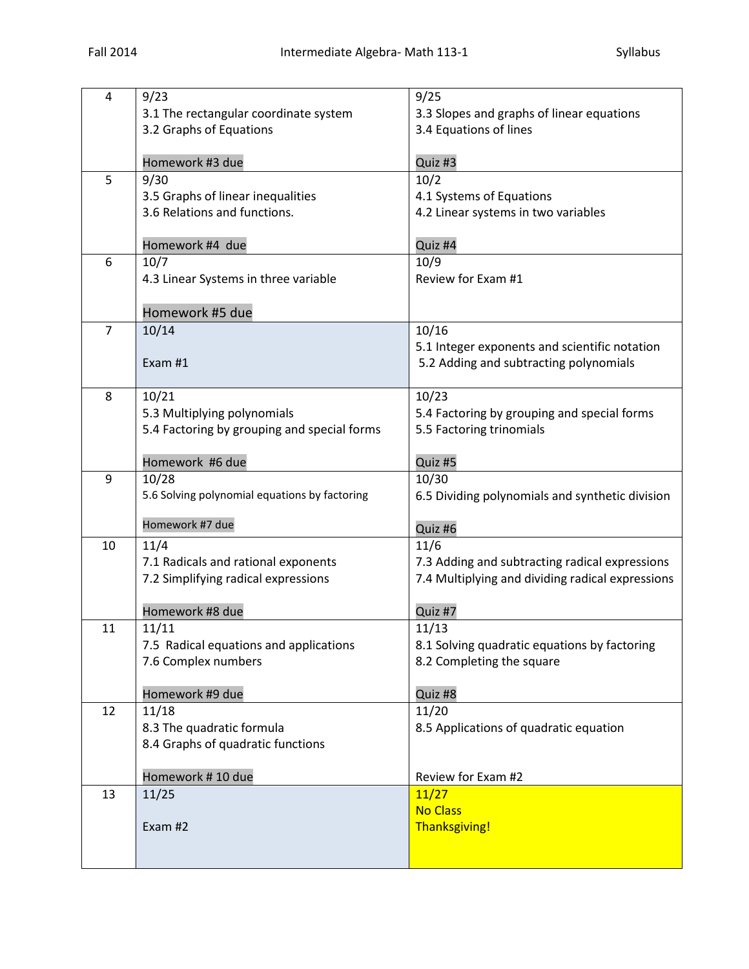| 4              | 9/23                                          | 9/25                                             |
|----------------|-----------------------------------------------|--------------------------------------------------|
|                | 3.1 The rectangular coordinate system         | 3.3 Slopes and graphs of linear equations        |
|                | 3.2 Graphs of Equations                       | 3.4 Equations of lines                           |
|                |                                               |                                                  |
|                | Homework #3 due                               | Quiz #3                                          |
| 5              | 9/30                                          | 10/2                                             |
|                | 3.5 Graphs of linear inequalities             | 4.1 Systems of Equations                         |
|                | 3.6 Relations and functions.                  | 4.2 Linear systems in two variables              |
|                |                                               |                                                  |
|                | Homework #4 due                               | Quiz #4                                          |
| 6              | 10/7                                          | 10/9                                             |
|                | 4.3 Linear Systems in three variable          | Review for Exam #1                               |
|                |                                               |                                                  |
|                | Homework #5 due                               |                                                  |
| $\overline{7}$ | 10/14                                         | 10/16                                            |
|                |                                               | 5.1 Integer exponents and scientific notation    |
|                | Exam #1                                       | 5.2 Adding and subtracting polynomials           |
| 8              | 10/21                                         | 10/23                                            |
|                | 5.3 Multiplying polynomials                   | 5.4 Factoring by grouping and special forms      |
|                | 5.4 Factoring by grouping and special forms   | 5.5 Factoring trinomials                         |
|                |                                               |                                                  |
|                | Homework #6 due                               | Quiz #5                                          |
| 9              | 10/28                                         | 10/30                                            |
|                | 5.6 Solving polynomial equations by factoring | 6.5 Dividing polynomials and synthetic division  |
|                |                                               |                                                  |
|                | Homework #7 due                               | Quiz #6                                          |
| 10             | 11/4                                          | 11/6                                             |
|                | 7.1 Radicals and rational exponents           | 7.3 Adding and subtracting radical expressions   |
|                | 7.2 Simplifying radical expressions           | 7.4 Multiplying and dividing radical expressions |
|                | Homework #8 due                               | Quiz #7                                          |
| 11             | 11/11                                         | 11/13                                            |
|                | 7.5 Radical equations and applications        | 8.1 Solving quadratic equations by factoring     |
|                | 7.6 Complex numbers                           | 8.2 Completing the square                        |
|                |                                               |                                                  |
|                | Homework #9 due                               | Quiz #8                                          |
| 12             | 11/18                                         | 11/20                                            |
|                | 8.3 The quadratic formula                     | 8.5 Applications of quadratic equation           |
|                | 8.4 Graphs of quadratic functions             |                                                  |
|                |                                               |                                                  |
|                | Homework #10 due                              | Review for Exam #2                               |
| 13             | 11/25                                         | 11/27                                            |
|                |                                               | <b>No Class</b>                                  |
|                | Exam #2                                       | <b>Thanksgiving!</b>                             |
|                |                                               |                                                  |
|                |                                               |                                                  |